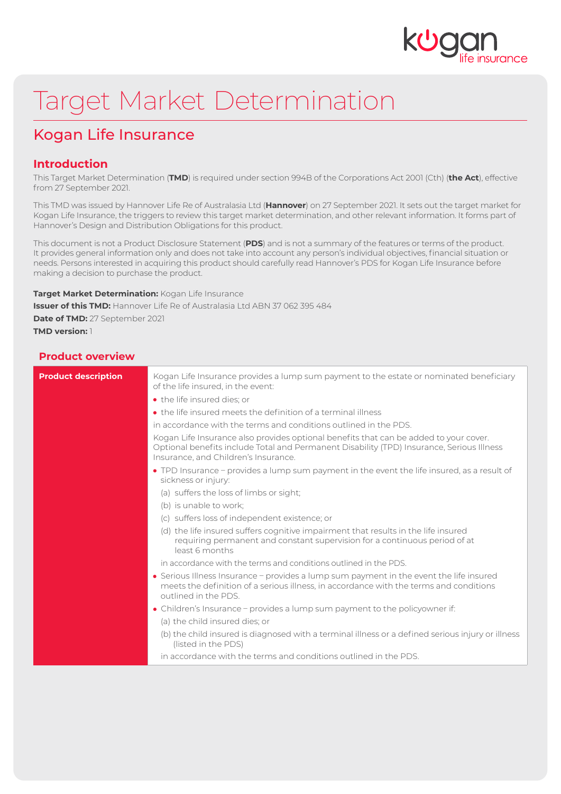

# Target Market Determination

## Kogan Life Insurance

## **Introduction**

This Target Market Determination (**TMD**) is required under section 994B of the Corporations Act 2001 (Cth) (**the Act**), effective from 27 September 2021.

This TMD was issued by Hannover Life Re of Australasia Ltd (**Hannover**) on 27 September 2021. It sets out the target market for Kogan Life Insurance, the triggers to review this target market determination, and other relevant information. It forms part of Hannover's Design and Distribution Obligations for this product.

This document is not a Product Disclosure Statement (**PDS**) and is not a summary of the features or terms of the product. It provides general information only and does not take into account any person's individual objectives, financial situation or needs. Persons interested in acquiring this product should carefully read Hannover's PDS for Kogan Life Insurance before making a decision to purchase the product.

**Target Market Determination:** Kogan Life Insurance **Issuer of this TMD:** Hannover Life Re of Australasia Ltd ABN 37 062 395 484 **Date of TMD:** 27 September 2021 **TMD version:** 1

## **Product overview**

| <b>Product description</b> | Kogan Life Insurance provides a lump sum payment to the estate or nominated beneficiary<br>of the life insured, in the event:                                                                                              |
|----------------------------|----------------------------------------------------------------------------------------------------------------------------------------------------------------------------------------------------------------------------|
|                            | • the life insured dies; or                                                                                                                                                                                                |
|                            | • the life insured meets the definition of a terminal illness                                                                                                                                                              |
|                            | in accordance with the terms and conditions outlined in the PDS.                                                                                                                                                           |
|                            | Kogan Life Insurance also provides optional benefits that can be added to your cover.<br>Optional benefits include Total and Permanent Disability (TPD) Insurance, Serious Illness<br>Insurance, and Children's Insurance. |
|                            | • TPD Insurance – provides a lump sum payment in the event the life insured, as a result of<br>sickness or injury:                                                                                                         |
|                            | (a) suffers the loss of limbs or sight;                                                                                                                                                                                    |
|                            | (b) is unable to work;                                                                                                                                                                                                     |
|                            | (c) suffers loss of independent existence; or                                                                                                                                                                              |
|                            | (d) the life insured suffers cognitive impairment that results in the life insured<br>requiring permanent and constant supervision for a continuous period of at<br>least 6 months                                         |
|                            | in accordance with the terms and conditions outlined in the PDS                                                                                                                                                            |
|                            | • Serious Illness Insurance - provides a lump sum payment in the event the life insured<br>meets the definition of a serious illness, in accordance with the terms and conditions<br>outlined in the PDS                   |
|                            | • Children's Insurance – provides a lump sum payment to the policyowner if:                                                                                                                                                |
|                            | (a) the child insured dies; or                                                                                                                                                                                             |
|                            | (b) the child insured is diagnosed with a terminal illness or a defined serious injury or illness<br>(listed in the PDS)                                                                                                   |
|                            | in accordance with the terms and conditions outlined in the PDS.                                                                                                                                                           |
|                            |                                                                                                                                                                                                                            |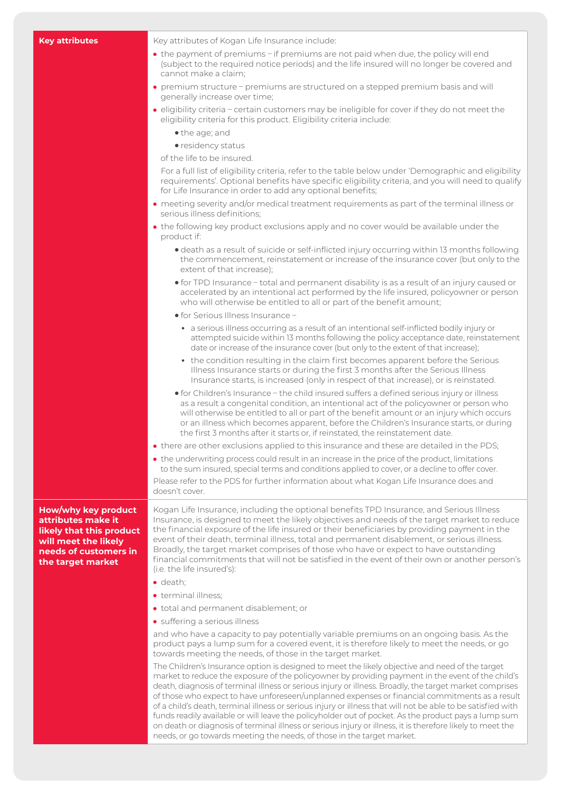**Key attributes** Key attributes of Kogan Life Insurance include:

- the payment of premiums if premiums are not paid when due, the policy will end (subject to the required notice periods) and the life insured will no longer be covered and cannot make a claim;
- premium structure premiums are structured on a stepped premium basis and will generally increase over time;
- eligibility criteria certain customers may be ineligible for cover if they do not meet the eligibility criteria for this product. Eligibility criteria include:
	- •the age; and
	- residency status

of the life to be insured.

For a full list of eligibility criteria, refer to the table below under 'Demographic and eligibility requirements'. Optional benefits have specific eligibility criteria, and you will need to qualify for Life Insurance in order to add any optional benefits;

- meeting severity and/or medical treatment requirements as part of the terminal illness or serious illness definitions;
- the following key product exclusions apply and no cover would be available under the product if:
	- •death as a result of suicide or self-inflicted injury occurring within 13 months following the commencement, reinstatement or increase of the insurance cover (but only to the extent of that increase);
	- •for TPD Insurance total and permanent disability is as a result of an injury caused or accelerated by an intentional act performed by the life insured, policyowner or person who will otherwise be entitled to all or part of the benefit amount;
	- •for Serious Illness Insurance
		- a serious illness occurring as a result of an intentional self-inflicted bodily injury or attempted suicide within 13 months following the policy acceptance date, reinstatement date or increase of the insurance cover (but only to the extent of that increase);
		- the condition resulting in the claim first becomes apparent before the Serious Illness Insurance starts or during the first 3 months after the Serious Illness Insurance starts, is increased (only in respect of that increase), or is reinstated.
	- •for Children's Insurance the child insured suffers a defined serious injury or illness as a result a congenital condition, an intentional act of the policyowner or person who will otherwise be entitled to all or part of the benefit amount or an injury which occurs or an illness which becomes apparent, before the Children's Insurance starts, or during the first 3 months after it starts or, if reinstated, the reinstatement date.
- there are other exclusions applied to this insurance and these are detailed in the PDS;
- the underwriting process could result in an increase in the price of the product, limitations to the sum insured, special terms and conditions applied to cover, or a decline to offer cover.

Please refer to the PDS for further information about what Kogan Life Insurance does and doesn't cover.

**How/why key product attributes make it likely that this product will meet the likely needs of customers in the target market**

Kogan Life Insurance, including the optional benefits TPD Insurance, and Serious Illness Insurance, is designed to meet the likely objectives and needs of the target market to reduce the financial exposure of the life insured or their beneficiaries by providing payment in the event of their death, terminal illness, total and permanent disablement, or serious illness. Broadly, the target market comprises of those who have or expect to have outstanding financial commitments that will not be satisfied in the event of their own or another person's (i.e. the life insured's):

- o death:
- terminal illness:
- total and permanent disablement; or
- suffering a serious illness

and who have a capacity to pay potentially variable premiums on an ongoing basis. As the product pays a lump sum for a covered event, it is therefore likely to meet the needs, or go towards meeting the needs, of those in the target market.

The Children's Insurance option is designed to meet the likely objective and need of the target market to reduce the exposure of the policyowner by providing payment in the event of the child's death, diagnosis of terminal illness or serious injury or illness. Broadly, the target market comprises of those who expect to have unforeseen/unplanned expenses or financial commitments as a result of a child's death, terminal illness or serious injury or illness that will not be able to be satisfied with funds readily available or will leave the policyholder out of pocket. As the product pays a lump sum on death or diagnosis of terminal illness or serious injury or illness, it is therefore likely to meet the needs, or go towards meeting the needs, of those in the target market.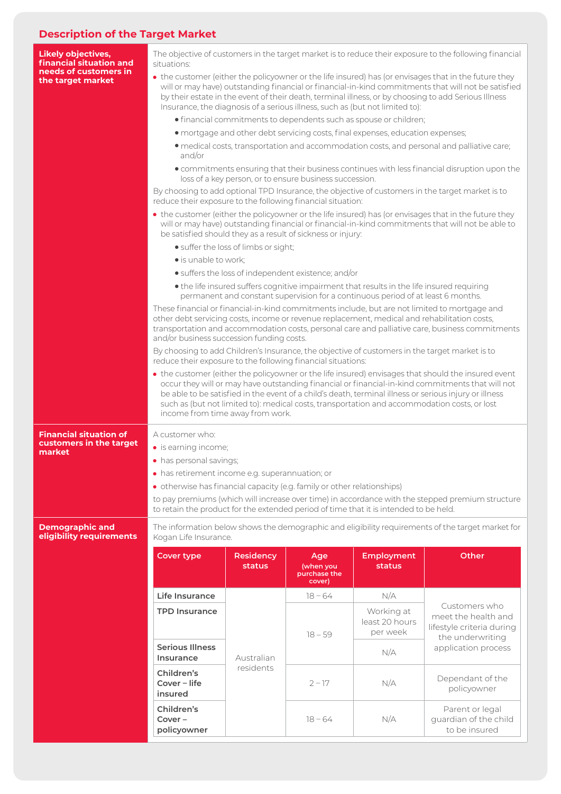## **Description of the Target Market**

| <b>Likely objectives,</b><br>financial situation and | The objective of customers in the target market is to reduce their exposure to the following financial<br>situations:                                                                                                                                                                                                                                                                                                                                 |                                   |                                  |                                    |                                                                                                              |  |  |
|------------------------------------------------------|-------------------------------------------------------------------------------------------------------------------------------------------------------------------------------------------------------------------------------------------------------------------------------------------------------------------------------------------------------------------------------------------------------------------------------------------------------|-----------------------------------|----------------------------------|------------------------------------|--------------------------------------------------------------------------------------------------------------|--|--|
| needs of customers in<br>the target market           | • the customer (either the policyowner or the life insured) has (or envisages that in the future they<br>will or may have) outstanding financial or financial-in-kind commitments that will not be satisfied<br>by their estate in the event of their death, terminal illness, or by choosing to add Serious Illness<br>Insurance, the diagnosis of a serious illness, such as (but not limited to):                                                  |                                   |                                  |                                    |                                                                                                              |  |  |
|                                                      | · financial commitments to dependents such as spouse or children;                                                                                                                                                                                                                                                                                                                                                                                     |                                   |                                  |                                    |                                                                                                              |  |  |
|                                                      | · mortgage and other debt servicing costs, final expenses, education expenses;                                                                                                                                                                                                                                                                                                                                                                        |                                   |                                  |                                    |                                                                                                              |  |  |
|                                                      | · medical costs, transportation and accommodation costs, and personal and palliative care;<br>and/or                                                                                                                                                                                                                                                                                                                                                  |                                   |                                  |                                    |                                                                                                              |  |  |
|                                                      | · commitments ensuring that their business continues with less financial disruption upon the<br>loss of a key person, or to ensure business succession.                                                                                                                                                                                                                                                                                               |                                   |                                  |                                    |                                                                                                              |  |  |
|                                                      | By choosing to add optional TPD Insurance, the objective of customers in the target market is to<br>reduce their exposure to the following financial situation:                                                                                                                                                                                                                                                                                       |                                   |                                  |                                    |                                                                                                              |  |  |
|                                                      | • the customer (either the policyowner or the life insured) has (or envisages that in the future they<br>will or may have) outstanding financial or financial-in-kind commitments that will not be able to<br>be satisfied should they as a result of sickness or injury:                                                                                                                                                                             |                                   |                                  |                                    |                                                                                                              |  |  |
|                                                      | • suffer the loss of limbs or sight;                                                                                                                                                                                                                                                                                                                                                                                                                  |                                   |                                  |                                    |                                                                                                              |  |  |
|                                                      | · is unable to work;                                                                                                                                                                                                                                                                                                                                                                                                                                  |                                   |                                  |                                    |                                                                                                              |  |  |
|                                                      |                                                                                                                                                                                                                                                                                                                                                                                                                                                       |                                   |                                  |                                    |                                                                                                              |  |  |
|                                                      | • suffers the loss of independent existence; and/or<br>• the life insured suffers cognitive impairment that results in the life insured requiring                                                                                                                                                                                                                                                                                                     |                                   |                                  |                                    |                                                                                                              |  |  |
|                                                      | permanent and constant supervision for a continuous period of at least 6 months.<br>These financial or financial-in-kind commitments include, but are not limited to mortgage and<br>other debt servicing costs, income or revenue replacement, medical and rehabilitation costs,<br>transportation and accommodation costs, personal care and palliative care, business commitments<br>and/or business succession funding costs.                     |                                   |                                  |                                    |                                                                                                              |  |  |
|                                                      | By choosing to add Children's Insurance, the objective of customers in the target market is to<br>reduce their exposure to the following financial situations:                                                                                                                                                                                                                                                                                        |                                   |                                  |                                    |                                                                                                              |  |  |
|                                                      | • the customer (either the policyowner or the life insured) envisages that should the insured event<br>occur they will or may have outstanding financial or financial-in-kind commitments that will not<br>be able to be satisfied in the event of a child's death, terminal illness or serious injury or illness<br>such as (but not limited to): medical costs, transportation and accommodation costs, or lost<br>income from time away from work. |                                   |                                  |                                    |                                                                                                              |  |  |
| <b>Financial situation of</b>                        | A customer who:                                                                                                                                                                                                                                                                                                                                                                                                                                       |                                   |                                  |                                    |                                                                                                              |  |  |
| customers in the target                              | • is earning income;                                                                                                                                                                                                                                                                                                                                                                                                                                  |                                   |                                  |                                    |                                                                                                              |  |  |
| market                                               | • has personal savings;                                                                                                                                                                                                                                                                                                                                                                                                                               |                                   |                                  |                                    |                                                                                                              |  |  |
|                                                      | · has retirement income e.g. superannuation; or                                                                                                                                                                                                                                                                                                                                                                                                       |                                   |                                  |                                    |                                                                                                              |  |  |
|                                                      | • otherwise has financial capacity (e.g. family or other relationships)                                                                                                                                                                                                                                                                                                                                                                               |                                   |                                  |                                    |                                                                                                              |  |  |
|                                                      | to pay premiums (which will increase over time) in accordance with the stepped premium structure<br>to retain the product for the extended period of time that it is intended to be held.                                                                                                                                                                                                                                                             |                                   |                                  |                                    |                                                                                                              |  |  |
| <b>Demographic and</b><br>eligibility requirements   | The information below shows the demographic and eligibility requirements of the target market for<br>Kogan Life Insurance.                                                                                                                                                                                                                                                                                                                            |                                   |                                  |                                    |                                                                                                              |  |  |
|                                                      |                                                                                                                                                                                                                                                                                                                                                                                                                                                       |                                   |                                  |                                    |                                                                                                              |  |  |
|                                                      | <b>Cover type</b>                                                                                                                                                                                                                                                                                                                                                                                                                                     | <b>Residency</b><br><b>status</b> | Age<br>(when you<br>purchase the | <b>Employment</b><br><b>status</b> | Other                                                                                                        |  |  |
|                                                      | Life Insurance                                                                                                                                                                                                                                                                                                                                                                                                                                        |                                   | cover)<br>$18 - 64$              | N/A                                |                                                                                                              |  |  |
|                                                      | <b>TPD Insurance</b>                                                                                                                                                                                                                                                                                                                                                                                                                                  |                                   |                                  | Working at                         | Customers who<br>meet the health and<br>lifestyle criteria during<br>the underwriting<br>application process |  |  |
|                                                      |                                                                                                                                                                                                                                                                                                                                                                                                                                                       | Australian                        | $18 - 59$                        | least 20 hours<br>per week         |                                                                                                              |  |  |
|                                                      |                                                                                                                                                                                                                                                                                                                                                                                                                                                       |                                   |                                  |                                    |                                                                                                              |  |  |
|                                                      | <b>Serious Illness</b><br>Insurance                                                                                                                                                                                                                                                                                                                                                                                                                   |                                   |                                  | N/A                                |                                                                                                              |  |  |
|                                                      | Children's<br>Cover - life<br>insured                                                                                                                                                                                                                                                                                                                                                                                                                 | residents                         | $2 - 17$                         | N/A                                | Dependant of the<br>policyowner                                                                              |  |  |

koganlifeinsurance.com.au to ensure the product suits your needs. Kogan Life Insurance, a trading name of Kogan Australia Pty Ltd ABN 53 152 570 351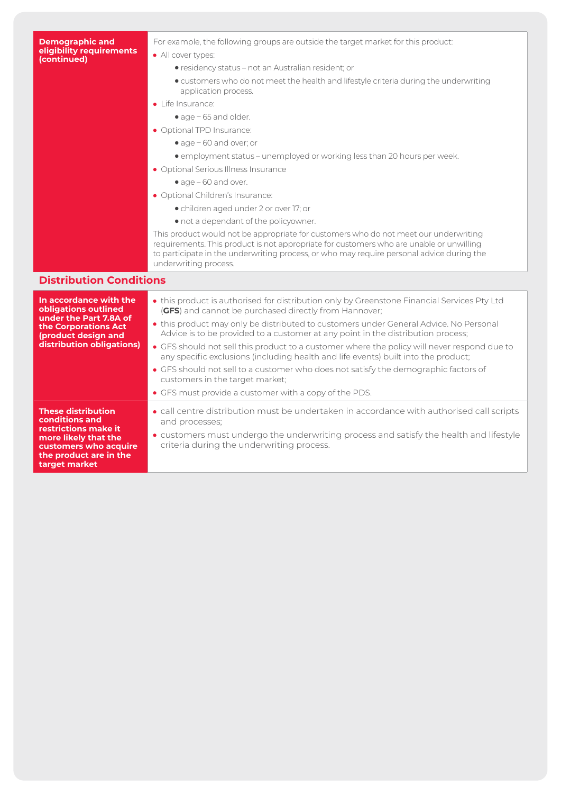#### **Demographic and eligibility requirements (continued)**

For example, the following groups are outside the target market for this product:

- All cover types:
	- •residency status not an Australian resident; or
	- •customers who do not meet the health and lifestyle criteria during the underwriting application process.
- **·** Life Insurance:
	- age 65 and older.
- Optional TPD Insurance:
	- •age 60 and over; or
	- •employment status unemployed or working less than 20 hours per week.
- Optional Serious Illness Insurance
	- age 60 and over.
- Optional Children's Insurance:
	- •children aged under 2 or over 17; or
	- •not a dependant of the policyowner.

This product would not be appropriate for customers who do not meet our underwriting requirements. This product is not appropriate for customers who are unable or unwilling to participate in the underwriting process, or who may require personal advice during the underwriting process.

## **Distribution Conditions**

| In accordance with the<br>obligations outlined<br>under the Part 7.8A of<br>the Corporations Act<br>(product design and<br>distribution obligations)            | • this product is authorised for distribution only by Greenstone Financial Services Pty Ltd<br>(GFS) and cannot be purchased directly from Hannover;<br>• this product may only be distributed to customers under General Advice. No Personal<br>Advice is to be provided to a customer at any point in the distribution process;<br>• GFS should not sell this product to a customer where the policy will never respond due to<br>any specific exclusions (including health and life events) built into the product;<br>• GFS should not sell to a customer who does not satisfy the demographic factors of<br>customers in the target market;<br>• GFS must provide a customer with a copy of the PDS. |
|-----------------------------------------------------------------------------------------------------------------------------------------------------------------|-----------------------------------------------------------------------------------------------------------------------------------------------------------------------------------------------------------------------------------------------------------------------------------------------------------------------------------------------------------------------------------------------------------------------------------------------------------------------------------------------------------------------------------------------------------------------------------------------------------------------------------------------------------------------------------------------------------|
| <b>These distribution</b><br>conditions and<br>restrictions make it<br>more likely that the<br>customers who acquire<br>the product are in the<br>target market | • call centre distribution must be undertaken in accordance with authorised call scripts<br>and processes;<br>• customers must undergo the underwriting process and satisfy the health and lifestyle<br>criteria during the underwriting process.                                                                                                                                                                                                                                                                                                                                                                                                                                                         |